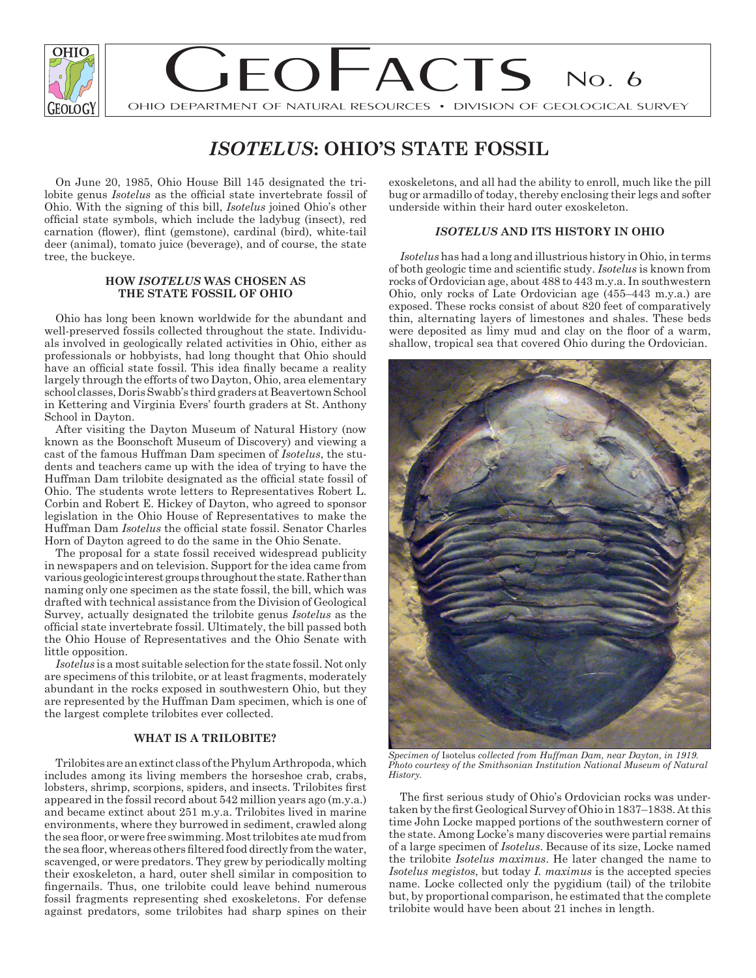

# $\overline{O}$   $\overline{O}$   $\overline{O}$   $\overline{O}$   $\overline{O}$   $\overline{O}$   $\overline{O}$   $\overline{O}$   $\overline{O}$   $\overline{O}$   $\overline{O}$   $\overline{O}$   $\overline{O}$   $\overline{O}$   $\overline{O}$   $\overline{O}$   $\overline{O}$   $\overline{O}$   $\overline{O}$   $\overline{O}$   $\overline{O}$   $\overline{O}$   $\overline{O}$   $\overline{O}$   $\overline{$ OHIO DEPARTMENT OF NATURAL RESOURCES • DIVISION OF GEOLOGICAL SURVEY No. 6

# *ISOTELUS***: OHIO'S STATE FOSSIL**

On June 20, 1985, Ohio House Bill 145 designated the trilobite genus *Isotelus* as the official state invertebrate fossil of Ohio. With the signing of this bill, *Isotelus* joined Ohio's other official state symbols, which include the ladybug (insect), red carnation (flower), flint (gemstone), cardinal (bird), white-tail deer (animal), tomato juice (beverage), and of course, the state tree, the buckeye.

#### **HOW** *ISOTELUS* **WAS CHOSEN AS THE STATE FOSSIL OF OHIO**

Ohio has long been known worldwide for the abundant and well-preserved fossils collected throughout the state. Individuals involved in geologically related activities in Ohio, either as professionals or hobbyists, had long thought that Ohio should have an official state fossil. This idea finally became a reality largely through the efforts of two Dayton, Ohio, area elementary school classes, Doris Swabb's third graders at Beavertown School in Kettering and Virginia Evers' fourth graders at St. Anthony School in Dayton.

After visiting the Dayton Museum of Natural History (now known as the Boonschoft Museum of Discovery) and viewing a cast of the famous Huffman Dam specimen of *Isotelus*, the students and teachers came up with the idea of trying to have the Huffman Dam trilobite designated as the official state fossil of Ohio. The students wrote letters to Representatives Robert L. Corbin and Robert E. Hickey of Dayton, who agreed to sponsor legislation in the Ohio House of Representatives to make the Huffman Dam *Isotelus* the official state fossil. Senator Charles Horn of Dayton agreed to do the same in the Ohio Senate.

The proposal for a state fossil received widespread publicity in newspapers and on television. Support for the idea came from various geologic interest groups throughout the state. Rather than naming only one specimen as the state fossil, the bill, which was drafted with technical assistance from the Division of Geological Survey, actually designated the trilobite genus *Isotelus* as the official state invertebrate fossil. Ultimately, the bill passed both the Ohio House of Representatives and the Ohio Senate with little opposition.

*Isotelus* is a most suitable selection for the state fossil. Not only are specimens of this trilobite, or at least fragments, moderately abundant in the rocks exposed in southwestern Ohio, but they are represented by the Huffman Dam specimen, which is one of the largest complete trilobites ever collected.

### **WHAT IS A TRILOBITE?**

Trilobites are an extinct class of the Phylum Arthropoda, which includes among its living members the horseshoe crab, crabs, lobsters, shrimp, scorpions, spiders, and insects. Trilobites first appeared in the fossil record about 542 million years ago (m.y.a.) and became extinct about 251 m.y.a. Trilobites lived in marine environments, where they burrowed in sediment, crawled along the sea floor, or were free swimming. Most trilobites ate mud from the sea floor, whereas others filtered food directly from the water, scavenged, or were predators. They grew by periodically molting their exoskeleton, a hard, outer shell similar in composition to fingernails. Thus, one trilobite could leave behind numerous fossil fragments representing shed exoskeletons. For defense against predators, some trilobites had sharp spines on their exoskeletons, and all had the ability to enroll, much like the pill bug or armadillo of today, thereby enclosing their legs and softer underside within their hard outer exoskeleton.

## *ISOTELUS* **AND ITS HISTORY IN OHIO**

*Isotelus* has had a long and illustrious history in Ohio, in terms of both geologic time and scientific study. *Isotelus* is known from rocks of Ordovician age, about 488 to 443 m.y.a. In southwestern Ohio, only rocks of Late Ordovician age (455–443 m.y.a.) are exposed. These rocks consist of about 820 feet of comparatively thin, alternating layers of limestones and shales. These beds were deposited as limy mud and clay on the floor of a warm, shallow, tropical sea that covered Ohio during the Ordovician.



*Specimen of* Isotelus *collected from Huffman Dam, near Dayton, in 1919. Photo courtesy of the Smithsonian Institution National Museum of Natural History.* 

The first serious study of Ohio's Ordovician rocks was undertaken by the first Geological Survey of Ohio in 1837–1838. At this time John Locke mapped portions of the southwestern corner of the state. Among Locke's many discoveries were partial remains of a large specimen of *Isotelus*. Because of its size, Locke named the trilobite *Isotelus maximus*. He later changed the name to *Isotelus megistos*, but today *I. maximus* is the accepted species name. Locke collected only the pygidium (tail) of the trilobite but, by proportional comparison, he estimated that the complete trilobite would have been about 21 inches in length.